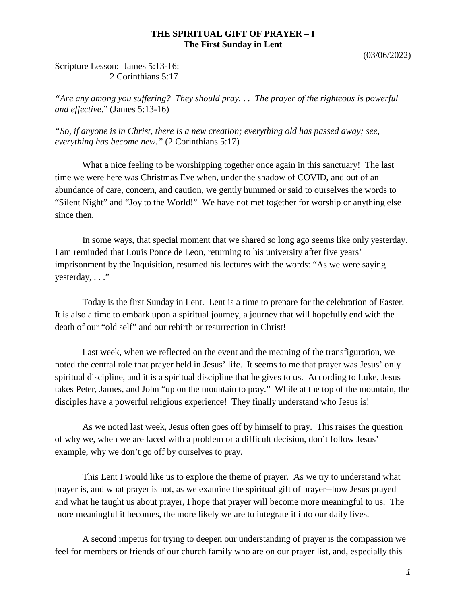## **THE SPIRITUAL GIFT OF PRAYER – I The First Sunday in Lent**

(03/06/2022)

Scripture Lesson: James 5:13-16: 2 Corinthians 5:17

*"Are any among you suffering? They should pray. . . The prayer of the righteous is powerful and effective*." (James 5:13-16)

*"So, if anyone is in Christ, there is a new creation; everything old has passed away; see, everything has become new."* (2 Corinthians 5:17)

What a nice feeling to be worshipping together once again in this sanctuary! The last time we were here was Christmas Eve when, under the shadow of COVID, and out of an abundance of care, concern, and caution, we gently hummed or said to ourselves the words to "Silent Night" and "Joy to the World!" We have not met together for worship or anything else since then.

In some ways, that special moment that we shared so long ago seems like only yesterday. I am reminded that Louis Ponce de Leon, returning to his university after five years' imprisonment by the Inquisition, resumed his lectures with the words: "As we were saying yesterday, . . ."

Today is the first Sunday in Lent. Lent is a time to prepare for the celebration of Easter. It is also a time to embark upon a spiritual journey, a journey that will hopefully end with the death of our "old self" and our rebirth or resurrection in Christ!

Last week, when we reflected on the event and the meaning of the transfiguration, we noted the central role that prayer held in Jesus' life. It seems to me that prayer was Jesus' only spiritual discipline, and it is a spiritual discipline that he gives to us. According to Luke, Jesus takes Peter, James, and John "up on the mountain to pray." While at the top of the mountain, the disciples have a powerful religious experience! They finally understand who Jesus is!

As we noted last week, Jesus often goes off by himself to pray. This raises the question of why we, when we are faced with a problem or a difficult decision, don't follow Jesus' example, why we don't go off by ourselves to pray.

This Lent I would like us to explore the theme of prayer. As we try to understand what prayer is, and what prayer is not, as we examine the spiritual gift of prayer--how Jesus prayed and what he taught us about prayer, I hope that prayer will become more meaningful to us. The more meaningful it becomes, the more likely we are to integrate it into our daily lives.

A second impetus for trying to deepen our understanding of prayer is the compassion we feel for members or friends of our church family who are on our prayer list, and, especially this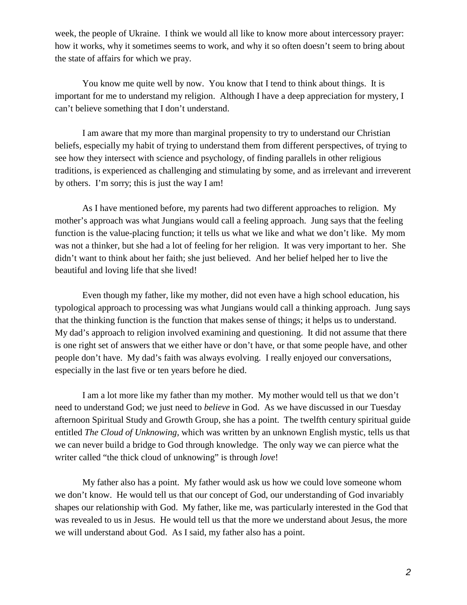week, the people of Ukraine. I think we would all like to know more about intercessory prayer: how it works, why it sometimes seems to work, and why it so often doesn't seem to bring about the state of affairs for which we pray.

You know me quite well by now. You know that I tend to think about things. It is important for me to understand my religion. Although I have a deep appreciation for mystery, I can't believe something that I don't understand.

I am aware that my more than marginal propensity to try to understand our Christian beliefs, especially my habit of trying to understand them from different perspectives, of trying to see how they intersect with science and psychology, of finding parallels in other religious traditions, is experienced as challenging and stimulating by some, and as irrelevant and irreverent by others. I'm sorry; this is just the way I am!

As I have mentioned before, my parents had two different approaches to religion. My mother's approach was what Jungians would call a feeling approach. Jung says that the feeling function is the value-placing function; it tells us what we like and what we don't like. My mom was not a thinker, but she had a lot of feeling for her religion. It was very important to her. She didn't want to think about her faith; she just believed. And her belief helped her to live the beautiful and loving life that she lived!

Even though my father, like my mother, did not even have a high school education, his typological approach to processing was what Jungians would call a thinking approach. Jung says that the thinking function is the function that makes sense of things; it helps us to understand. My dad's approach to religion involved examining and questioning. It did not assume that there is one right set of answers that we either have or don't have, or that some people have, and other people don't have. My dad's faith was always evolving. I really enjoyed our conversations, especially in the last five or ten years before he died.

I am a lot more like my father than my mother. My mother would tell us that we don't need to understand God; we just need to *believe* in God. As we have discussed in our Tuesday afternoon Spiritual Study and Growth Group, she has a point. The twelfth century spiritual guide entitled *The Cloud of Unknowing,* which was written by an unknown English mystic, tells us that we can never build a bridge to God through knowledge. The only way we can pierce what the writer called "the thick cloud of unknowing" is through *love*!

My father also has a point. My father would ask us how we could love someone whom we don't know. He would tell us that our concept of God, our understanding of God invariably shapes our relationship with God. My father, like me, was particularly interested in the God that was revealed to us in Jesus. He would tell us that the more we understand about Jesus, the more we will understand about God. As I said, my father also has a point.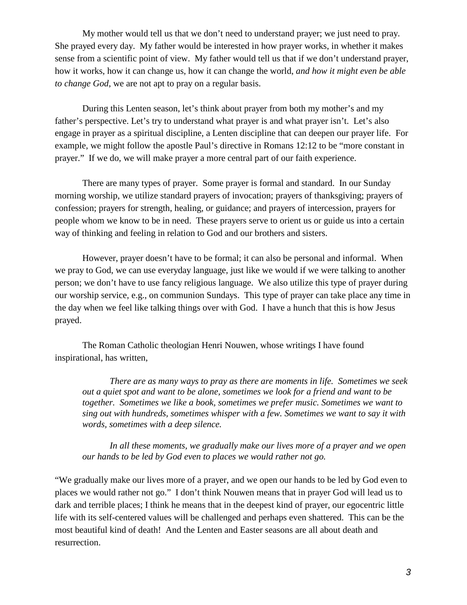My mother would tell us that we don't need to understand prayer; we just need to pray. She prayed every day. My father would be interested in how prayer works, in whether it makes sense from a scientific point of view. My father would tell us that if we don't understand prayer, how it works, how it can change us, how it can change the world, *and how it might even be able to change God*, we are not apt to pray on a regular basis.

During this Lenten season, let's think about prayer from both my mother's and my father's perspective. Let's try to understand what prayer is and what prayer isn't. Let's also engage in prayer as a spiritual discipline, a Lenten discipline that can deepen our prayer life. For example, we might follow the apostle Paul's directive in Romans 12:12 to be "more constant in prayer." If we do, we will make prayer a more central part of our faith experience.

There are many types of prayer. Some prayer is formal and standard. In our Sunday morning worship, we utilize standard prayers of invocation; prayers of thanksgiving; prayers of confession; prayers for strength, healing, or guidance; and prayers of intercession, prayers for people whom we know to be in need. These prayers serve to orient us or guide us into a certain way of thinking and feeling in relation to God and our brothers and sisters.

However, prayer doesn't have to be formal; it can also be personal and informal. When we pray to God, we can use everyday language, just like we would if we were talking to another person; we don't have to use fancy religious language. We also utilize this type of prayer during our worship service, e.g., on communion Sundays. This type of prayer can take place any time in the day when we feel like talking things over with God. I have a hunch that this is how Jesus prayed.

The Roman Catholic theologian Henri Nouwen, whose writings I have found inspirational, has written,

*There are as many ways to pray as there are moments in life. Sometimes we seek out a quiet spot and want to be alone, sometimes we look for a friend and want to be together. Sometimes we like a book, sometimes we prefer music. Sometimes we want to sing out with hundreds, sometimes whisper with a few. Sometimes we want to say it with words, sometimes with a deep silence.*

*In all these moments, we gradually make our lives more of a prayer and we open our hands to be led by God even to places we would rather not go.*

"We gradually make our lives more of a prayer, and we open our hands to be led by God even to places we would rather not go." I don't think Nouwen means that in prayer God will lead us to dark and terrible places; I think he means that in the deepest kind of prayer, our egocentric little life with its self-centered values will be challenged and perhaps even shattered. This can be the most beautiful kind of death! And the Lenten and Easter seasons are all about death and resurrection.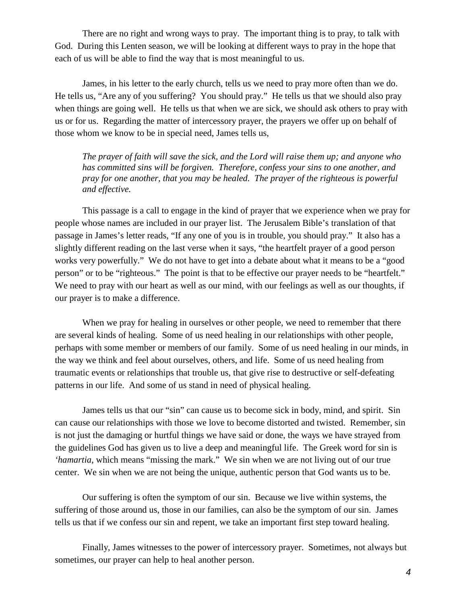There are no right and wrong ways to pray. The important thing is to pray, to talk with God. During this Lenten season, we will be looking at different ways to pray in the hope that each of us will be able to find the way that is most meaningful to us.

James, in his letter to the early church, tells us we need to pray more often than we do. He tells us, "Are any of you suffering? You should pray." He tells us that we should also pray when things are going well. He tells us that when we are sick, we should ask others to pray with us or for us. Regarding the matter of intercessory prayer, the prayers we offer up on behalf of those whom we know to be in special need, James tells us,

*The prayer of faith will save the sick, and the Lord will raise them up; and anyone who has committed sins will be forgiven. Therefore, confess your sins to one another, and pray for one another, that you may be healed. The prayer of the righteous is powerful and effective.*

This passage is a call to engage in the kind of prayer that we experience when we pray for people whose names are included in our prayer list. The Jerusalem Bible's translation of that passage in James's letter reads, "If any one of you is in trouble, you should pray." It also has a slightly different reading on the last verse when it says, "the heartfelt prayer of a good person works very powerfully." We do not have to get into a debate about what it means to be a "good person" or to be "righteous." The point is that to be effective our prayer needs to be "heartfelt." We need to pray with our heart as well as our mind, with our feelings as well as our thoughts, if our prayer is to make a difference.

When we pray for healing in ourselves or other people, we need to remember that there are several kinds of healing. Some of us need healing in our relationships with other people, perhaps with some member or members of our family. Some of us need healing in our minds, in the way we think and feel about ourselves, others, and life. Some of us need healing from traumatic events or relationships that trouble us, that give rise to destructive or self-defeating patterns in our life. And some of us stand in need of physical healing.

James tells us that our "sin" can cause us to become sick in body, mind, and spirit. Sin can cause our relationships with those we love to become distorted and twisted. Remember, sin is not just the damaging or hurtful things we have said or done, the ways we have strayed from the guidelines God has given us to live a deep and meaningful life. The Greek word for sin is *'hamartia*, which means "missing the mark." We sin when we are not living out of our true center. We sin when we are not being the unique, authentic person that God wants us to be.

Our suffering is often the symptom of our sin. Because we live within systems, the suffering of those around us, those in our families, can also be the symptom of our sin. James tells us that if we confess our sin and repent, we take an important first step toward healing.

Finally, James witnesses to the power of intercessory prayer. Sometimes, not always but sometimes, our prayer can help to heal another person.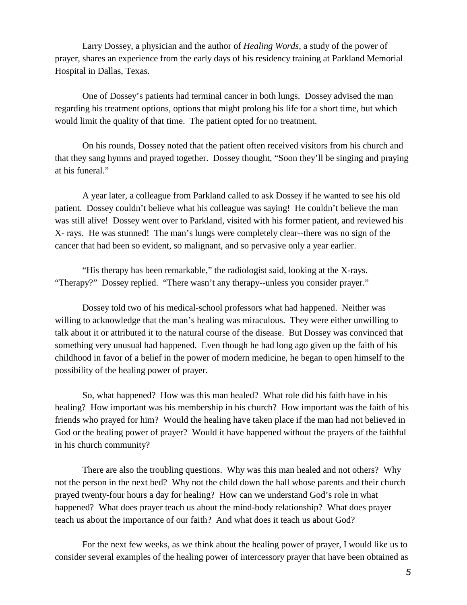Larry Dossey, a physician and the author of *Healing Words*, a study of the power of prayer, shares an experience from the early days of his residency training at Parkland Memorial Hospital in Dallas, Texas.

One of Dossey's patients had terminal cancer in both lungs. Dossey advised the man regarding his treatment options, options that might prolong his life for a short time, but which would limit the quality of that time. The patient opted for no treatment.

On his rounds, Dossey noted that the patient often received visitors from his church and that they sang hymns and prayed together. Dossey thought, "Soon they'll be singing and praying at his funeral."

A year later, a colleague from Parkland called to ask Dossey if he wanted to see his old patient. Dossey couldn't believe what his colleague was saying! He couldn't believe the man was still alive! Dossey went over to Parkland, visited with his former patient, and reviewed his X- rays. He was stunned! The man's lungs were completely clear--there was no sign of the cancer that had been so evident, so malignant, and so pervasive only a year earlier.

"His therapy has been remarkable," the radiologist said, looking at the X-rays. "Therapy?" Dossey replied. "There wasn't any therapy--unless you consider prayer."

Dossey told two of his medical-school professors what had happened. Neither was willing to acknowledge that the man's healing was miraculous. They were either unwilling to talk about it or attributed it to the natural course of the disease. But Dossey was convinced that something very unusual had happened. Even though he had long ago given up the faith of his childhood in favor of a belief in the power of modern medicine, he began to open himself to the possibility of the healing power of prayer.

So, what happened? How was this man healed? What role did his faith have in his healing? How important was his membership in his church? How important was the faith of his friends who prayed for him? Would the healing have taken place if the man had not believed in God or the healing power of prayer? Would it have happened without the prayers of the faithful in his church community?

There are also the troubling questions. Why was this man healed and not others? Why not the person in the next bed? Why not the child down the hall whose parents and their church prayed twenty-four hours a day for healing? How can we understand God's role in what happened? What does prayer teach us about the mind-body relationship? What does prayer teach us about the importance of our faith? And what does it teach us about God?

For the next few weeks, as we think about the healing power of prayer, I would like us to consider several examples of the healing power of intercessory prayer that have been obtained as